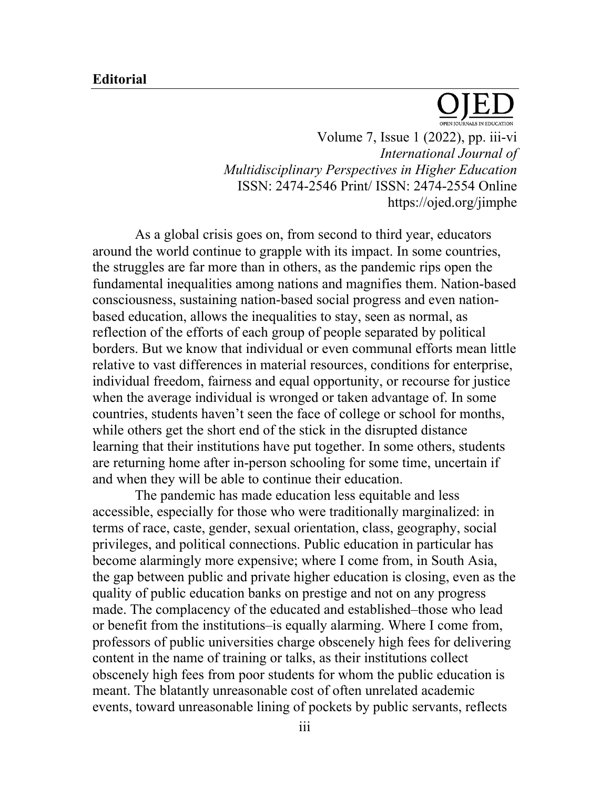## **Editorial**



Volume 7, Issue 1 (2022), pp. iii-vi *International Journal of Multidisciplinary Perspectives in Higher Education* ISSN: 2474-2546 Print/ ISSN: 2474-2554 Online https://ojed.org/jimphe

As a global crisis goes on, from second to third year, educators around the world continue to grapple with its impact. In some countries, the struggles are far more than in others, as the pandemic rips open the fundamental inequalities among nations and magnifies them. Nation-based consciousness, sustaining nation-based social progress and even nationbased education, allows the inequalities to stay, seen as normal, as reflection of the efforts of each group of people separated by political borders. But we know that individual or even communal efforts mean little relative to vast differences in material resources, conditions for enterprise, individual freedom, fairness and equal opportunity, or recourse for justice when the average individual is wronged or taken advantage of. In some countries, students haven't seen the face of college or school for months, while others get the short end of the stick in the disrupted distance learning that their institutions have put together. In some others, students are returning home after in-person schooling for some time, uncertain if and when they will be able to continue their education.

The pandemic has made education less equitable and less accessible, especially for those who were traditionally marginalized: in terms of race, caste, gender, sexual orientation, class, geography, social privileges, and political connections. Public education in particular has become alarmingly more expensive; where I come from, in South Asia, the gap between public and private higher education is closing, even as the quality of public education banks on prestige and not on any progress made. The complacency of the educated and established–those who lead or benefit from the institutions–is equally alarming. Where I come from, professors of public universities charge obscenely high fees for delivering content in the name of training or talks, as their institutions collect obscenely high fees from poor students for whom the public education is meant. The blatantly unreasonable cost of often unrelated academic events, toward unreasonable lining of pockets by public servants, reflects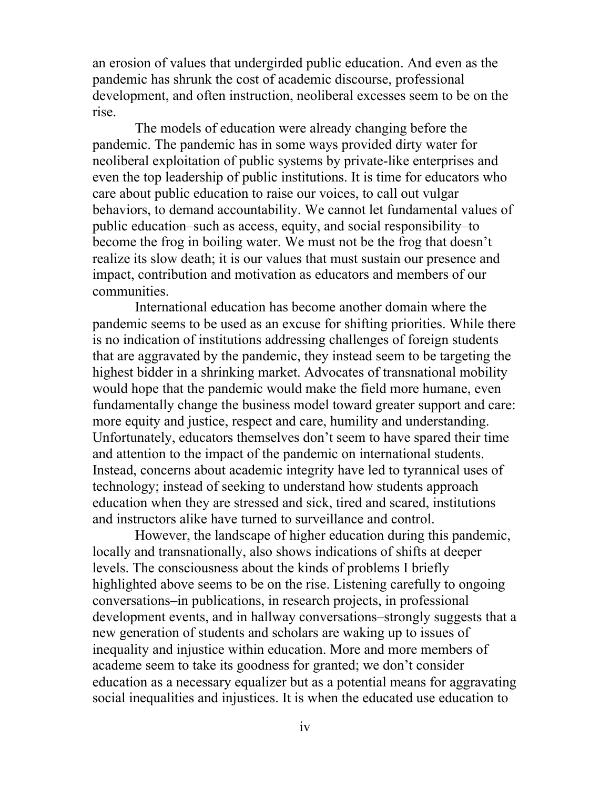an erosion of values that undergirded public education. And even as the pandemic has shrunk the cost of academic discourse, professional development, and often instruction, neoliberal excesses seem to be on the rise.

The models of education were already changing before the pandemic. The pandemic has in some ways provided dirty water for neoliberal exploitation of public systems by private-like enterprises and even the top leadership of public institutions. It is time for educators who care about public education to raise our voices, to call out vulgar behaviors, to demand accountability. We cannot let fundamental values of public education–such as access, equity, and social responsibility–to become the frog in boiling water. We must not be the frog that doesn't realize its slow death; it is our values that must sustain our presence and impact, contribution and motivation as educators and members of our communities.

International education has become another domain where the pandemic seems to be used as an excuse for shifting priorities. While there is no indication of institutions addressing challenges of foreign students that are aggravated by the pandemic, they instead seem to be targeting the highest bidder in a shrinking market. Advocates of transnational mobility would hope that the pandemic would make the field more humane, even fundamentally change the business model toward greater support and care: more equity and justice, respect and care, humility and understanding. Unfortunately, educators themselves don't seem to have spared their time and attention to the impact of the pandemic on international students. Instead, concerns about academic integrity have led to tyrannical uses of technology; instead of seeking to understand how students approach education when they are stressed and sick, tired and scared, institutions and instructors alike have turned to surveillance and control.

However, the landscape of higher education during this pandemic, locally and transnationally, also shows indications of shifts at deeper levels. The consciousness about the kinds of problems I briefly highlighted above seems to be on the rise. Listening carefully to ongoing conversations–in publications, in research projects, in professional development events, and in hallway conversations–strongly suggests that a new generation of students and scholars are waking up to issues of inequality and injustice within education. More and more members of academe seem to take its goodness for granted; we don't consider education as a necessary equalizer but as a potential means for aggravating social inequalities and injustices. It is when the educated use education to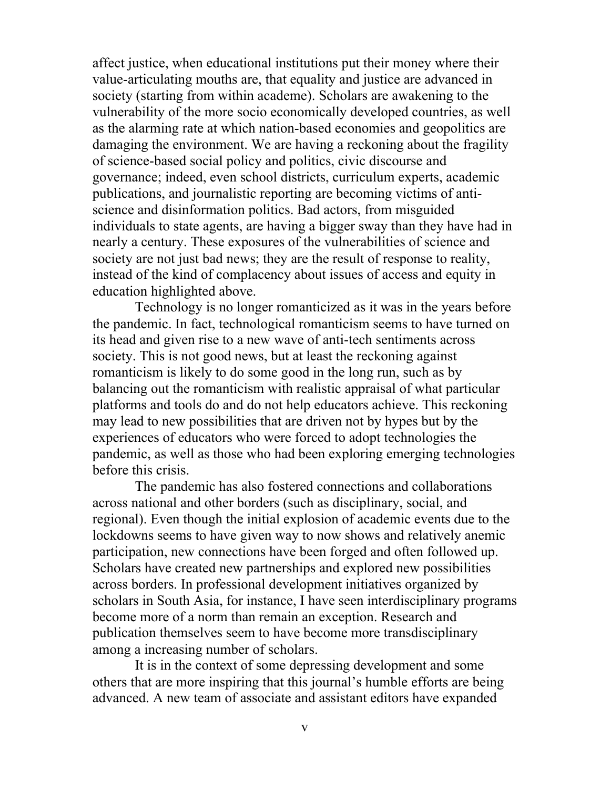affect justice, when educational institutions put their money where their value-articulating mouths are, that equality and justice are advanced in society (starting from within academe). Scholars are awakening to the vulnerability of the more socio economically developed countries, as well as the alarming rate at which nation-based economies and geopolitics are damaging the environment. We are having a reckoning about the fragility of science-based social policy and politics, civic discourse and governance; indeed, even school districts, curriculum experts, academic publications, and journalistic reporting are becoming victims of antiscience and disinformation politics. Bad actors, from misguided individuals to state agents, are having a bigger sway than they have had in nearly a century. These exposures of the vulnerabilities of science and society are not just bad news; they are the result of response to reality, instead of the kind of complacency about issues of access and equity in education highlighted above.

Technology is no longer romanticized as it was in the years before the pandemic. In fact, technological romanticism seems to have turned on its head and given rise to a new wave of anti-tech sentiments across society. This is not good news, but at least the reckoning against romanticism is likely to do some good in the long run, such as by balancing out the romanticism with realistic appraisal of what particular platforms and tools do and do not help educators achieve. This reckoning may lead to new possibilities that are driven not by hypes but by the experiences of educators who were forced to adopt technologies the pandemic, as well as those who had been exploring emerging technologies before this crisis.

The pandemic has also fostered connections and collaborations across national and other borders (such as disciplinary, social, and regional). Even though the initial explosion of academic events due to the lockdowns seems to have given way to now shows and relatively anemic participation, new connections have been forged and often followed up. Scholars have created new partnerships and explored new possibilities across borders. In professional development initiatives organized by scholars in South Asia, for instance, I have seen interdisciplinary programs become more of a norm than remain an exception. Research and publication themselves seem to have become more transdisciplinary among a increasing number of scholars.

It is in the context of some depressing development and some others that are more inspiring that this journal's humble efforts are being advanced. A new team of associate and assistant editors have expanded